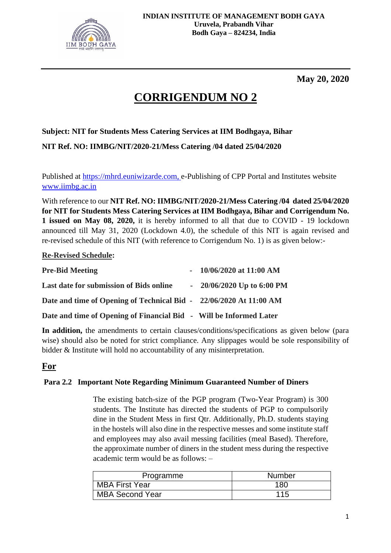

**May 20, 2020**

# **CORRIGENDUM NO 2**

# **Subject: NIT for Students Mess Catering Services at IIM Bodhgaya, Bihar**

**NIT Ref. NO: IIMBG/NIT/2020-21/Mess Catering /04 dated 25/04/2020**

Published at [https://mhrd.euniwizarde.com,](https://mhrd.euniwizarde.com/) e-Publishing of CPP Portal and Institutes website [www.iimbg.ac.in](http://www.iimbg.ac.in/)

With reference to our **NIT Ref. NO: IIMBG/NIT/2020-21/Mess Catering /04 dated 25/04/2020 for NIT for Students Mess Catering Services at IIM Bodhgaya, Bihar and Corrigendum No. 1 issued on May 08, 2020,** it is hereby informed to all that due to COVID - 19 lockdown announced till May 31, 2020 (Lockdown 4.0), the schedule of this NIT is again revised and re-revised schedule of this NIT (with reference to Corrigendum No. 1) is as given below:-

## **Re-Revised Schedule:**

| <b>Pre-Bid Meeting</b>                                             | $-10/06/2020$ at 11:00 AM   |
|--------------------------------------------------------------------|-----------------------------|
| Last date for submission of Bids online                            | $-20/06/2020$ Up to 6:00 PM |
| Date and time of Opening of Technical Bid - 22/06/2020 At 11:00 AM |                             |
| Date and time of Opening of Financial Bid - Will be Informed Later |                             |

**In addition,** the amendments to certain clauses/conditions/specifications as given below (para wise) should also be noted for strict compliance. Any slippages would be sole responsibility of bidder & Institute will hold no accountability of any misinterpretation.

# **For**

# **Para 2.2 Important Note Regarding Minimum Guaranteed Number of Diners**

The existing batch-size of the PGP program (Two-Year Program) is 300 students. The Institute has directed the students of PGP to compulsorily dine in the Student Mess in first Qtr. Additionally, Ph.D. students staying in the hostels will also dine in the respective messes and some institute staff and employees may also avail messing facilities (meal Based). Therefore, the approximate number of diners in the student mess during the respective academic term would be as follows: –

| Programme              | <b>Number</b> |
|------------------------|---------------|
| MBA First Year         | 180           |
| <b>MBA Second Year</b> | 115           |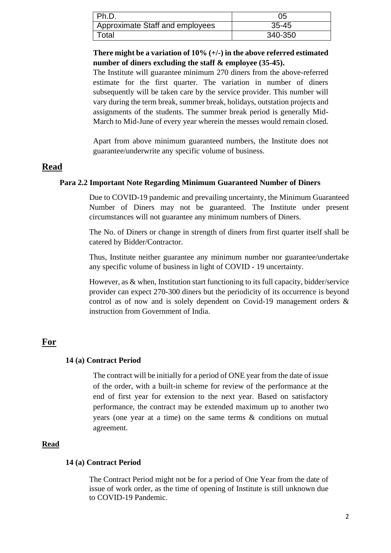| Ph.D.                           | 05        |
|---------------------------------|-----------|
| Approximate Staff and employees | $35 - 45$ |
| Total                           | 340-350   |

**There might be a variation of 10% (+/-) in the above referred estimated number of diners excluding the staff & employee (35-45).**

The Institute will guarantee minimum 270 diners from the above-referred estimate for the first quarter. The variation in number of diners subsequently will be taken care by the service provider. This number will vary during the term break, summer break, holidays, outstation projects and assignments of the students. The summer break period is generally Mid-March to Mid-June of every year wherein the messes would remain closed.

Apart from above minimum guaranteed numbers, the Institute does not guarantee/underwrite any specific volume of business.

## **Read**

#### **Para 2.2 Important Note Regarding Minimum Guaranteed Number of Diners**

Due to COVID-19 pandemic and prevailing uncertainty, the Minimum Guaranteed Number of Diners may not be guaranteed. The Institute under present circumstances will not guarantee any minimum numbers of Diners.

The No. of Diners or change in strength of diners from first quarter itself shall be catered by Bidder/Contractor.

Thus, Institute neither guarantee any minimum number nor guarantee/undertake any specific volume of business in light of COVID - 19 uncertainty.

However, as & when, Institution start functioning to its full capacity, bidder/service provider can expect 270-300 diners but the periodicity of its occurrence is beyond control as of now and is solely dependent on Covid-19 management orders & instruction from Government of India.

# **For**

#### **14 (a) Contract Period**

The contract will be initially for a period of ONE year from the date of issue of the order, with a built-in scheme for review of the performance at the end of first year for extension to the next year. Based on satisfactory performance, the contract may be extended maximum up to another two years (one year at a time) on the same terms & conditions on mutual agreement.

#### **Read**

#### **14 (a) Contract Period**

The Contract Period might not be for a period of One Year from the date of issue of work order, as the time of opening of Institute is still unknown due to COVID-19 Pandemic.